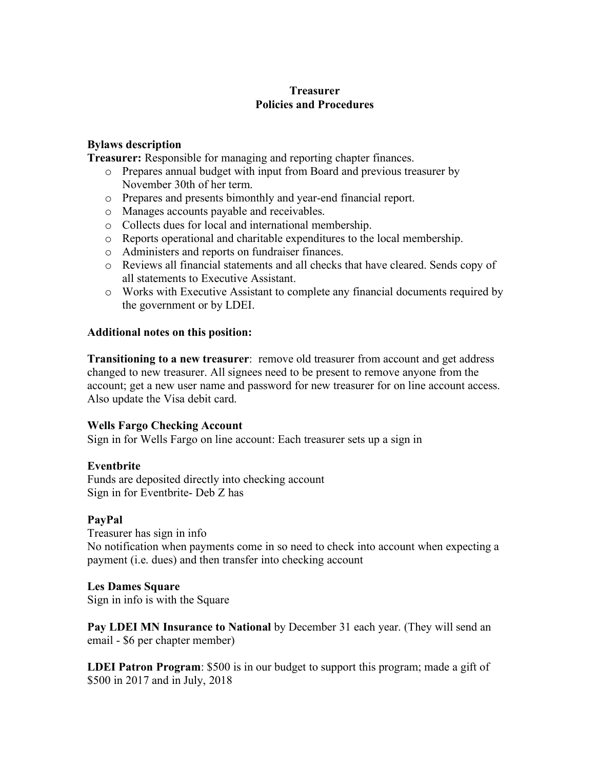# **Treasurer Policies and Procedures**

### **Bylaws description**

**Treasurer:** Responsible for managing and reporting chapter finances.

- o Prepares annual budget with input from Board and previous treasurer by November 30th of her term.
- o Prepares and presents bimonthly and year-end financial report.
- o Manages accounts payable and receivables.
- o Collects dues for local and international membership.
- o Reports operational and charitable expenditures to the local membership.
- o Administers and reports on fundraiser finances.
- o Reviews all financial statements and all checks that have cleared. Sends copy of all statements to Executive Assistant.
- o Works with Executive Assistant to complete any financial documents required by the government or by LDEI.

#### **Additional notes on this position:**

**Transitioning to a new treasurer**: remove old treasurer from account and get address changed to new treasurer. All signees need to be present to remove anyone from the account; get a new user name and password for new treasurer for on line account access. Also update the Visa debit card.

#### **Wells Fargo Checking Account**

Sign in for Wells Fargo on line account: Each treasurer sets up a sign in

# **Eventbrite**

Funds are deposited directly into checking account Sign in for Eventbrite- Deb Z has

# **PayPal**

Treasurer has sign in info No notification when payments come in so need to check into account when expecting a payment (i.e. dues) and then transfer into checking account

#### **Les Dames Square**

Sign in info is with the Square

**Pay LDEI MN Insurance to National** by December 31 each year. (They will send an email - \$6 per chapter member)

**LDEI Patron Program**: \$500 is in our budget to support this program; made a gift of \$500 in 2017 and in July, 2018